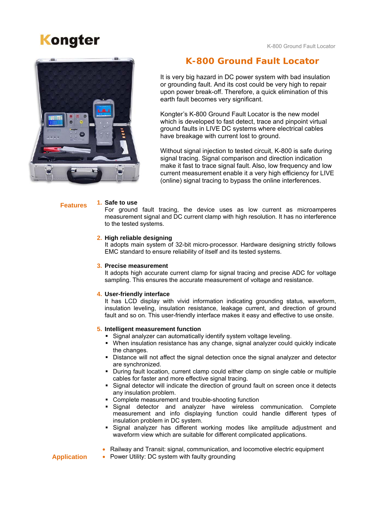# **Kongter** Kongter **Kang Locator** K-800 Ground Fault Locator



## **K-800 Ground Fault Locator**

It is very big hazard in DC power system with bad insulation or grounding fault. And its cost could be very high to repair upon power break-off. Therefore, a quick elimination of this earth fault becomes very significant.

Kongter's K-800 Ground Fault Locator is the new model which is developed to fast detect, trace and pinpoint virtual ground faults in LIVE DC systems where electrical cables have breakage with current lost to ground.

Without signal injection to tested circuit, K-800 is safe during signal tracing. Signal comparison and direction indication make it fast to trace signal fault. Also, low frequency and low current measurement enable it a very high efficiency for LIVE (online) signal tracing to bypass the online interferences.

#### **1. Safe to use Features**

For ground fault tracing, the device uses as low current as microamperes measurement signal and DC current clamp with high resolution. It has no interference to the tested systems.

### **2. High reliable designing**

It adopts main system of 32-bit micro-processor. Hardware designing strictly follows EMC standard to ensure reliability of itself and its tested systems.

### **3. Precise measurement**

It adopts high accurate current clamp for signal tracing and precise ADC for voltage sampling. This ensures the accurate measurement of voltage and resistance.

### **4. User-friendly interface**

It has LCD display with vivid information indicating grounding status, waveform, insulation leveling, insulation resistance, leakage current, and direction of ground fault and so on. This user-friendly interface makes it easy and effective to use onsite.

### **5. Intelligent measurement function**

- Signal analyzer can automatically identify system voltage leveling.
- When insulation resistance has any change, signal analyzer could quickly indicate the changes.
- Distance will not affect the signal detection once the signal analyzer and detector are synchronized.
- During fault location, current clamp could either clamp on single cable or multiple cables for faster and more effective signal tracing.
- Signal detector will indicate the direction of ground fault on screen once it detects any insulation problem.
- Complete measurement and trouble-shooting function
- Signal detector and analyzer have wireless communication. Complete measurement and info displaying function could handle different types of insulation problem in DC system.
- Signal analyzer has different working modes like amplitude adjustment and waveform view which are suitable for different complicated applications.

### • Railway and Transit: signal, communication, and locomotive electric equipment

• Power Utility: DC system with faulty grounding

### **Application**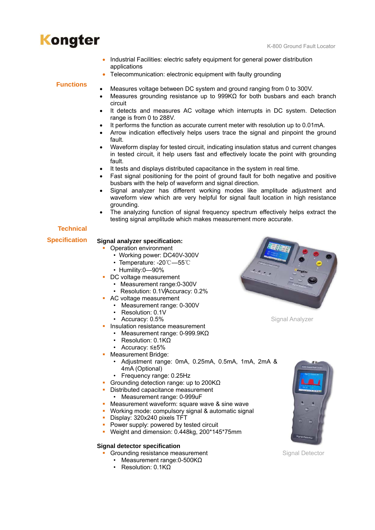## **Kongter** Kongter **Kang Locator** K-800 Ground Fault Locator

- Industrial Facilities: electric safety equipment for general power distribution applications
- Telecommunication: electronic equipment with faulty grounding

### **Functions**

- Measures voltage between DC system and ground ranging from 0 to 300V.
- Measures grounding resistance up to 999KΩ for both busbars and each branch circuit
- It detects and measures AC voltage which interrupts in DC system. Detection range is from 0 to 288V.
- It performs the function as accurate current meter with resolution up to 0.01mA.
- Arrow indication effectively helps users trace the signal and pinpoint the ground fault.
- Waveform display for tested circuit, indicating insulation status and current changes in tested circuit, it help users fast and effectively locate the point with grounding fault.
- It tests and displays distributed capacitance in the system in real time.
- Fast signal positioning for the point of ground fault for both negative and positive busbars with the help of waveform and signal direction.
- Signal analyzer has different working modes like amplitude adjustment and waveform view which are very helpful for signal fault location in high resistance grounding.
- The analyzing function of signal frequency spectrum effectively helps extract the testing signal amplitude which makes measurement more accurate.

### **Technical**

#### **Signal analyzer specification: Specification**

- Operation environment
	- Working power: DC40V-300V
	- Temperature: -20℃—55℃
	- Humility:0—90%
- DC voltage measurement
	- Measurement range:0-300V
	- Resolution: 0.1VAccuracy: 0.2%
- AC voltage measurement
	- Measurement range: 0-300V
	- Resolution: 0.1V
	- Accuracy: 0.5% Signal Analyzer
- **Insulation resistance measurement** 
	- Measurement range: 0-999.9KΩ
	- Resolution: 0.1KΩ
	- Accuracy: ≤±5%
- **Measurement Bridge:** 
	- Adjustment range: 0mA, 0.25mA, 0.5mA, 1mA, 2mA & 4mA (Optional)
	- Frequency range: 0.25Hz
- Grounding detection range: up to 200KΩ
- Distributed capacitance measurement
	- Measurement range: 0-999uF
- **Measurement waveform: square wave & sine wave**
- Working mode: compulsory signal & automatic signal
- Display: 320x240 pixels TFT
- Power supply: powered by tested circuit
- Weight and dimension: 0.448kg, 200\*145\*75mm

### **Signal detector specification**

- **Grounding resistance measurement Signal Detector** Signal Detector
	- Measurement range: 0-500KΩ
	- Resolution: 0.1KΩ